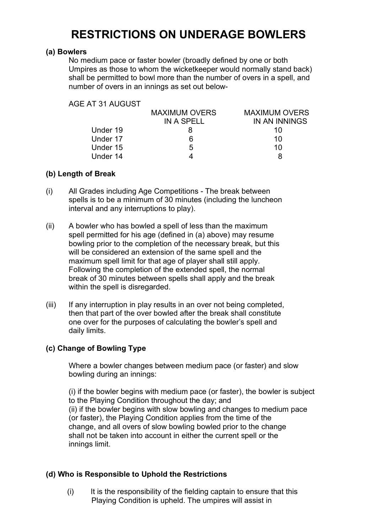# **RESTRICTIONS ON UNDERAGE BOWLERS**

### **(a) Bowlers**

No medium pace or faster bowler (broadly defined by one or both Umpires as those to whom the wicketkeeper would normally stand back) shall be permitted to bowl more than the number of overs in a spell, and number of overs in an innings as set out below-

### AGE AT 31 AUGUST

|          | <b>MAXIMUM OVERS</b> | <b>MAXIMUM OVERS</b> |
|----------|----------------------|----------------------|
|          | <b>IN A SPELL</b>    | IN AN INNINGS        |
| Under 19 |                      | 10                   |
| Under 17 | 6                    | 10                   |
| Under 15 | 5                    | 10                   |
| Under 14 |                      |                      |
|          |                      |                      |

# **(b) Length of Break**

- (i) All Grades including Age Competitions The break between spells is to be a minimum of 30 minutes (including the luncheon interval and any interruptions to play).
- (ii) A bowler who has bowled a spell of less than the maximum spell permitted for his age (defined in (a) above) may resume bowling prior to the completion of the necessary break, but this will be considered an extension of the same spell and the maximum spell limit for that age of player shall still apply. Following the completion of the extended spell, the normal break of 30 minutes between spells shall apply and the break within the spell is disregarded.
- (iii) If any interruption in play results in an over not being completed, then that part of the over bowled after the break shall constitute one over for the purposes of calculating the bowler's spell and daily limits.

# **(c) Change of Bowling Type**

Where a bowler changes between medium pace (or faster) and slow bowling during an innings:

(i) if the bowler begins with medium pace (or faster), the bowler is subject to the Playing Condition throughout the day; and (ii) if the bowler begins with slow bowling and changes to medium pace (or faster), the Playing Condition applies from the time of the change, and all overs of slow bowling bowled prior to the change shall not be taken into account in either the current spell or the innings limit.

# **(d) Who is Responsible to Uphold the Restrictions**

 (i) It is the responsibility of the fielding captain to ensure that this Playing Condition is upheld. The umpires will assist in